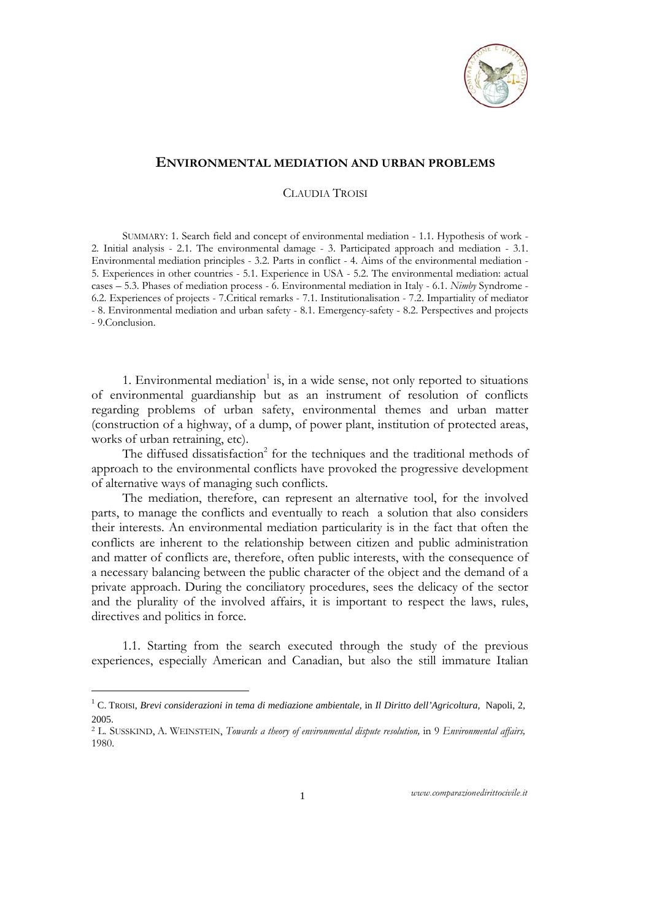

## **ENVIRONMENTAL MEDIATION AND URBAN PROBLEMS**

## CLAUDIA TROISI

SUMMARY: 1. Search field and concept of environmental mediation - 1.1. Hypothesis of work - 2. Initial analysis - 2.1. The environmental damage - 3. Participated approach and mediation - 3.1. Environmental mediation principles - 3.2. Parts in conflict - 4. Aims of the environmental mediation - 5. Experiences in other countries - 5.1. Experience in USA - 5.2. The environmental mediation: actual cases – 5.3. Phases of mediation process - 6. Environmental mediation in Italy - 6.1. *Nimby* Syndrome - 6.2. Experiences of projects - 7.Critical remarks - 7.1. Institutionalisation - 7.2. Impartiality of mediator - 8. Environmental mediation and urban safety - 8.1. Emergency-safety - 8.2. Perspectives and projects - 9.Conclusion.

1. Environmental mediation<sup>1</sup> is, in a wide sense, not only reported to situations of environmental guardianship but as an instrument of resolution of conflicts regarding problems of urban safety, environmental themes and urban matter (construction of a highway, of a dump, of power plant, institution of protected areas, works of urban retraining, etc).

The diffused dissatisfaction<sup>2</sup> for the techniques and the traditional methods of approach to the environmental conflicts have provoked the progressive development of alternative ways of managing such conflicts.

The mediation, therefore, can represent an alternative tool, for the involved parts, to manage the conflicts and eventually to reach a solution that also considers their interests. An environmental mediation particularity is in the fact that often the conflicts are inherent to the relationship between citizen and public administration and matter of conflicts are, therefore, often public interests, with the consequence of a necessary balancing between the public character of the object and the demand of a private approach. During the conciliatory procedures, sees the delicacy of the sector and the plurality of the involved affairs, it is important to respect the laws, rules, directives and politics in force.

1.1. Starting from the search executed through the study of the previous experiences, especially American and Canadian, but also the still immature Italian

1

<sup>&</sup>lt;sup>1</sup> C. TROISI, *Brevi considerazioni in tema di mediazione ambientale, in Il Diritto dell'Agricoltura, Napoli, 2,* 2005.

<sup>2</sup> L. SUSSKIND, A. WEINSTEIN, *Towards a theory of environmental dispute resolution,* in 9 *Environmental affairs,*  1980.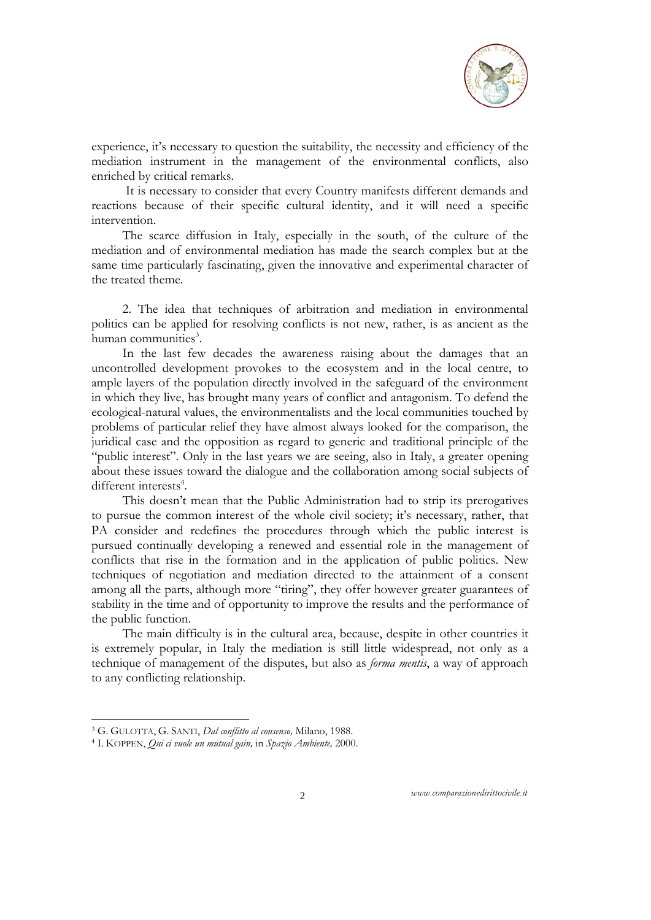

experience, it's necessary to question the suitability, the necessity and efficiency of the mediation instrument in the management of the environmental conflicts, also enriched by critical remarks.

 It is necessary to consider that every Country manifests different demands and reactions because of their specific cultural identity, and it will need a specific intervention.

The scarce diffusion in Italy, especially in the south, of the culture of the mediation and of environmental mediation has made the search complex but at the same time particularly fascinating, given the innovative and experimental character of the treated theme.

2. The idea that techniques of arbitration and mediation in environmental politics can be applied for resolving conflicts is not new, rather, is as ancient as the human communities<sup>3</sup>.

In the last few decades the awareness raising about the damages that an uncontrolled development provokes to the ecosystem and in the local centre, to ample layers of the population directly involved in the safeguard of the environment in which they live, has brought many years of conflict and antagonism. To defend the ecological-natural values, the environmentalists and the local communities touched by problems of particular relief they have almost always looked for the comparison, the juridical case and the opposition as regard to generic and traditional principle of the "public interest". Only in the last years we are seeing, also in Italy, a greater opening about these issues toward the dialogue and the collaboration among social subjects of different interests<sup>4</sup>.

This doesn't mean that the Public Administration had to strip its prerogatives to pursue the common interest of the whole civil society; it's necessary, rather, that PA consider and redefines the procedures through which the public interest is pursued continually developing a renewed and essential role in the management of conflicts that rise in the formation and in the application of public politics. New techniques of negotiation and mediation directed to the attainment of a consent among all the parts, although more "tiring", they offer however greater guarantees of stability in the time and of opportunity to improve the results and the performance of the public function.

The main difficulty is in the cultural area, because, despite in other countries it is extremely popular, in Italy the mediation is still little widespread, not only as a technique of management of the disputes, but also as *forma mentis*, a way of approach to any conflicting relationship.

-

<sup>3</sup> G. GULOTTA, G. SANTI, *Dal conflitto al consenso,* Milano, 1988. 4 I. KOPPEN, *Qui ci vuole un mutual gain,* in *Spazio Ambiente,* 2000.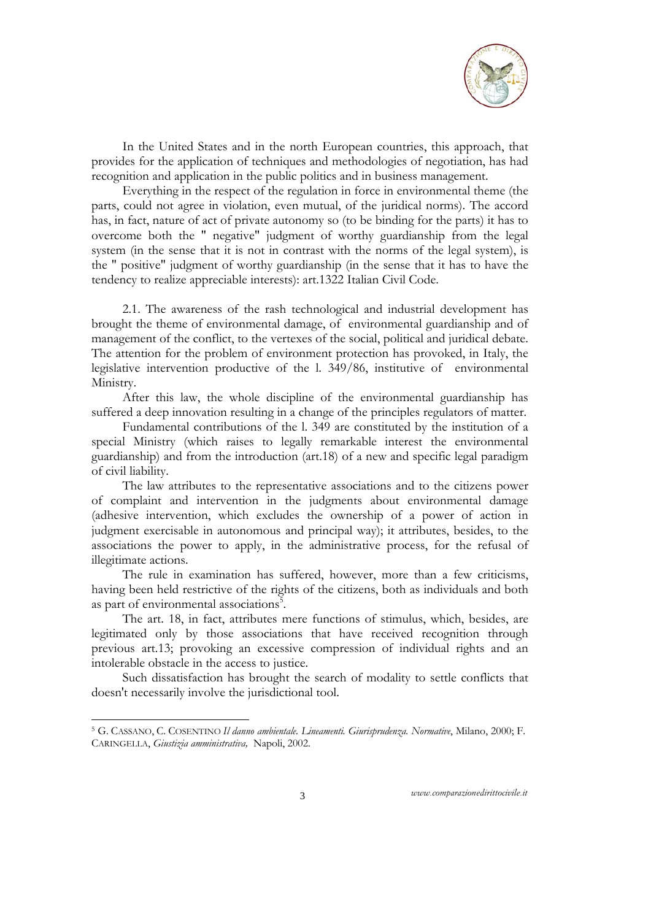

In the United States and in the north European countries, this approach, that provides for the application of techniques and methodologies of negotiation, has had recognition and application in the public politics and in business management.

Everything in the respect of the regulation in force in environmental theme (the parts, could not agree in violation, even mutual, of the juridical norms). The accord has, in fact, nature of act of private autonomy so (to be binding for the parts) it has to overcome both the " negative" judgment of worthy guardianship from the legal system (in the sense that it is not in contrast with the norms of the legal system), is the " positive" judgment of worthy guardianship (in the sense that it has to have the tendency to realize appreciable interests): art.1322 Italian Civil Code.

2.1. The awareness of the rash technological and industrial development has brought the theme of environmental damage, of environmental guardianship and of management of the conflict, to the vertexes of the social, political and juridical debate. The attention for the problem of environment protection has provoked, in Italy, the legislative intervention productive of the l. 349/86, institutive of environmental Ministry.

After this law, the whole discipline of the environmental guardianship has suffered a deep innovation resulting in a change of the principles regulators of matter.

Fundamental contributions of the l. 349 are constituted by the institution of a special Ministry (which raises to legally remarkable interest the environmental guardianship) and from the introduction (art.18) of a new and specific legal paradigm of civil liability.

The law attributes to the representative associations and to the citizens power of complaint and intervention in the judgments about environmental damage (adhesive intervention, which excludes the ownership of a power of action in judgment exercisable in autonomous and principal way); it attributes, besides, to the associations the power to apply, in the administrative process, for the refusal of illegitimate actions.

The rule in examination has suffered, however, more than a few criticisms, having been held restrictive of the rights of the citizens, both as individuals and both as part of environmental associations<sup>5</sup>.

The art. 18, in fact, attributes mere functions of stimulus, which, besides, are legitimated only by those associations that have received recognition through previous art.13; provoking an excessive compression of individual rights and an intolerable obstacle in the access to justice.

Such dissatisfaction has brought the search of modality to settle conflicts that doesn't necessarily involve the jurisdictional tool.

-

<sup>5</sup> G. CASSANO, C. COSENTINO *Il danno ambientale. Lineamenti. Giurisprudenza. Normative*, Milano, 2000; F. CARINGELLA, *Giustizia amministrativa,* Napoli, 2002.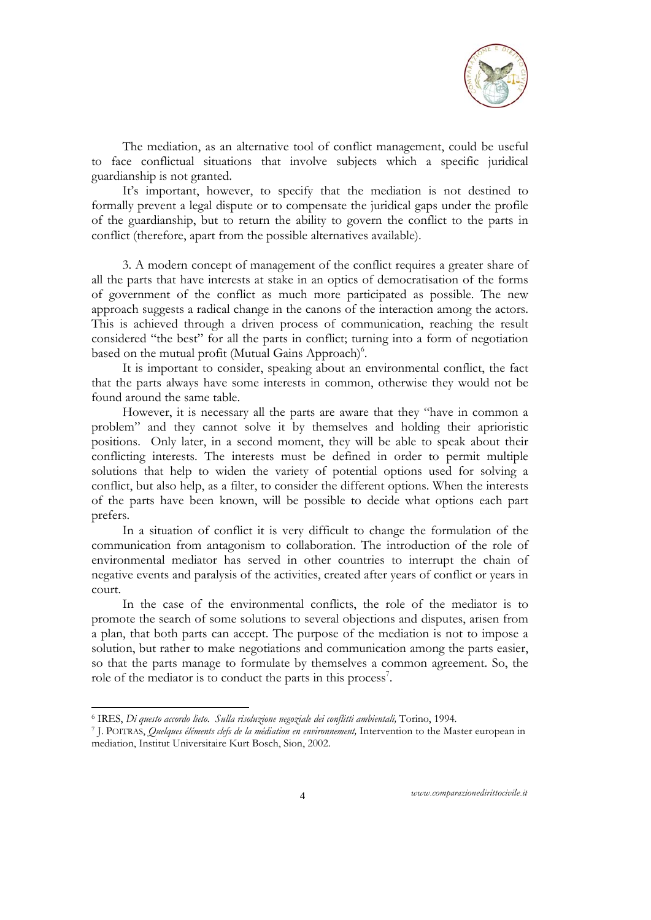

The mediation, as an alternative tool of conflict management, could be useful to face conflictual situations that involve subjects which a specific juridical guardianship is not granted.

It's important, however, to specify that the mediation is not destined to formally prevent a legal dispute or to compensate the juridical gaps under the profile of the guardianship, but to return the ability to govern the conflict to the parts in conflict (therefore, apart from the possible alternatives available).

3. A modern concept of management of the conflict requires a greater share of all the parts that have interests at stake in an optics of democratisation of the forms of government of the conflict as much more participated as possible. The new approach suggests a radical change in the canons of the interaction among the actors. This is achieved through a driven process of communication, reaching the result considered "the best" for all the parts in conflict; turning into a form of negotiation based on the mutual profit (Mutual Gains Approach)<sup>6</sup>.

It is important to consider, speaking about an environmental conflict, the fact that the parts always have some interests in common, otherwise they would not be found around the same table.

However, it is necessary all the parts are aware that they "have in common a problem" and they cannot solve it by themselves and holding their aprioristic positions. Only later, in a second moment, they will be able to speak about their conflicting interests. The interests must be defined in order to permit multiple solutions that help to widen the variety of potential options used for solving a conflict, but also help, as a filter, to consider the different options. When the interests of the parts have been known, will be possible to decide what options each part prefers.

In a situation of conflict it is very difficult to change the formulation of the communication from antagonism to collaboration. The introduction of the role of environmental mediator has served in other countries to interrupt the chain of negative events and paralysis of the activities, created after years of conflict or years in court.

In the case of the environmental conflicts, the role of the mediator is to promote the search of some solutions to several objections and disputes, arisen from a plan, that both parts can accept. The purpose of the mediation is not to impose a solution, but rather to make negotiations and communication among the parts easier, so that the parts manage to formulate by themselves a common agreement. So, the role of the mediator is to conduct the parts in this process<sup>7</sup>.

<sup>&</sup>lt;sup>6</sup> IRES, Di questo accordo lieto. Sulla risoluzione negoziale dei conflitti ambientali, Torino, 1994.

<sup>7</sup> J. POITRAS, *Ouelques éléments clefs de la médiation en environnement*, Intervention to the Master european in mediation, Institut Universitaire Kurt Bosch, Sion, 2002.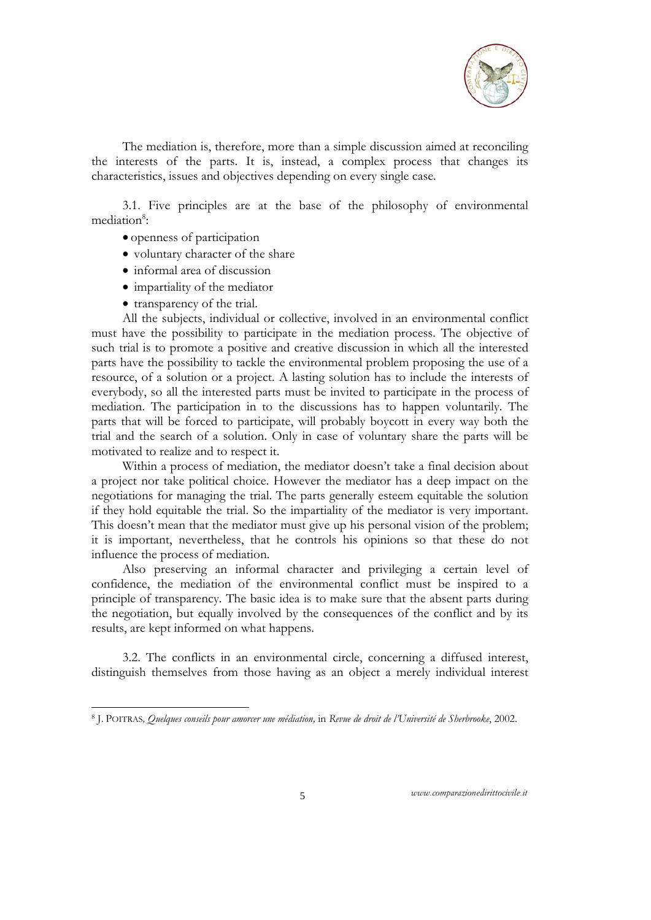

The mediation is, therefore, more than a simple discussion aimed at reconciling the interests of the parts. It is, instead, a complex process that changes its characteristics, issues and objectives depending on every single case.

3.1. Five principles are at the base of the philosophy of environmental mediation<sup>8</sup>:

- openness of participation
- voluntary character of the share
- informal area of discussion
- impartiality of the mediator
- transparency of the trial.

-

All the subjects, individual or collective, involved in an environmental conflict must have the possibility to participate in the mediation process. The objective of such trial is to promote a positive and creative discussion in which all the interested parts have the possibility to tackle the environmental problem proposing the use of a resource, of a solution or a project. A lasting solution has to include the interests of everybody, so all the interested parts must be invited to participate in the process of mediation. The participation in to the discussions has to happen voluntarily. The parts that will be forced to participate, will probably boycott in every way both the trial and the search of a solution. Only in case of voluntary share the parts will be motivated to realize and to respect it.

Within a process of mediation, the mediator doesn't take a final decision about a project nor take political choice. However the mediator has a deep impact on the negotiations for managing the trial. The parts generally esteem equitable the solution if they hold equitable the trial. So the impartiality of the mediator is very important. This doesn't mean that the mediator must give up his personal vision of the problem; it is important, nevertheless, that he controls his opinions so that these do not influence the process of mediation.

Also preserving an informal character and privileging a certain level of confidence, the mediation of the environmental conflict must be inspired to a principle of transparency. The basic idea is to make sure that the absent parts during the negotiation, but equally involved by the consequences of the conflict and by its results, are kept informed on what happens.

3.2. The conflicts in an environmental circle, concerning a diffused interest, distinguish themselves from those having as an object a merely individual interest

<sup>8</sup> J. POITRAS*, Quelques conseils pour amorcer une médiation,* in *Revue de droit de l'Université de Sherbrooke*, 2002.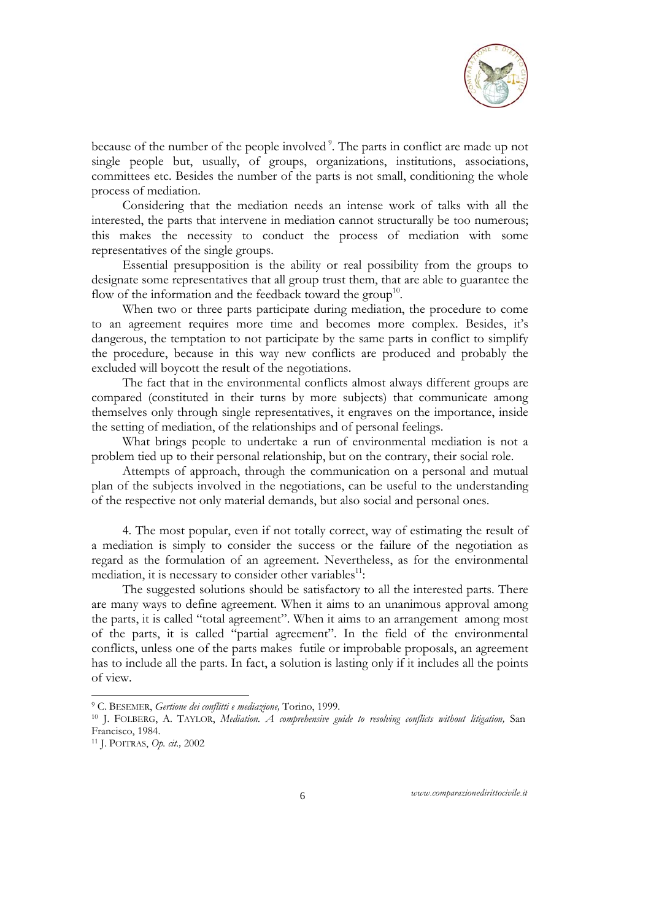

because of the number of the people involved<sup>9</sup>. The parts in conflict are made up not single people but, usually, of groups, organizations, institutions, associations, committees etc. Besides the number of the parts is not small, conditioning the whole process of mediation.

Considering that the mediation needs an intense work of talks with all the interested, the parts that intervene in mediation cannot structurally be too numerous; this makes the necessity to conduct the process of mediation with some representatives of the single groups.

Essential presupposition is the ability or real possibility from the groups to designate some representatives that all group trust them, that are able to guarantee the flow of the information and the feedback toward the group<sup>10</sup>.

When two or three parts participate during mediation, the procedure to come to an agreement requires more time and becomes more complex. Besides, it's dangerous, the temptation to not participate by the same parts in conflict to simplify the procedure, because in this way new conflicts are produced and probably the excluded will boycott the result of the negotiations.

The fact that in the environmental conflicts almost always different groups are compared (constituted in their turns by more subjects) that communicate among themselves only through single representatives, it engraves on the importance, inside the setting of mediation, of the relationships and of personal feelings.

What brings people to undertake a run of environmental mediation is not a problem tied up to their personal relationship, but on the contrary, their social role.

Attempts of approach, through the communication on a personal and mutual plan of the subjects involved in the negotiations, can be useful to the understanding of the respective not only material demands, but also social and personal ones.

4. The most popular, even if not totally correct, way of estimating the result of a mediation is simply to consider the success or the failure of the negotiation as regard as the formulation of an agreement. Nevertheless, as for the environmental mediation, it is necessary to consider other variables<sup>11</sup>:

The suggested solutions should be satisfactory to all the interested parts. There are many ways to define agreement. When it aims to an unanimous approval among the parts, it is called "total agreement". When it aims to an arrangement among most of the parts, it is called "partial agreement". In the field of the environmental conflicts, unless one of the parts makes futile or improbable proposals, an agreement has to include all the parts. In fact, a solution is lasting only if it includes all the points of view.

-

<sup>&</sup>lt;sup>9</sup> C. BESEMER, *Gertione dei conflitti e mediazione*, Torino, 1999.<br><sup>10</sup> J. FOLBERG, A. TAYLOR, *Mediation. A comprehensive guide to resolving conflicts without litigation*, San Francisco, 1984.

<sup>11</sup> J. POITRAS, *Op. cit.,* 2002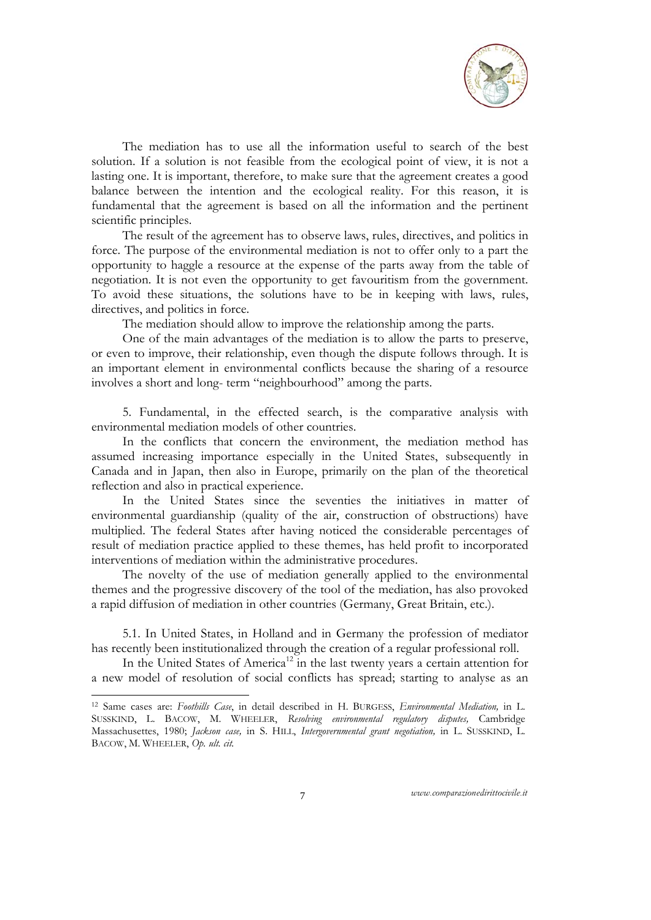

The mediation has to use all the information useful to search of the best solution. If a solution is not feasible from the ecological point of view, it is not a lasting one. It is important, therefore, to make sure that the agreement creates a good balance between the intention and the ecological reality. For this reason, it is fundamental that the agreement is based on all the information and the pertinent scientific principles.

The result of the agreement has to observe laws, rules, directives, and politics in force. The purpose of the environmental mediation is not to offer only to a part the opportunity to haggle a resource at the expense of the parts away from the table of negotiation. It is not even the opportunity to get favouritism from the government. To avoid these situations, the solutions have to be in keeping with laws, rules, directives, and politics in force.

The mediation should allow to improve the relationship among the parts.

One of the main advantages of the mediation is to allow the parts to preserve, or even to improve, their relationship, even though the dispute follows through. It is an important element in environmental conflicts because the sharing of a resource involves a short and long- term "neighbourhood" among the parts.

5. Fundamental, in the effected search, is the comparative analysis with environmental mediation models of other countries.

In the conflicts that concern the environment, the mediation method has assumed increasing importance especially in the United States, subsequently in Canada and in Japan, then also in Europe, primarily on the plan of the theoretical reflection and also in practical experience.

In the United States since the seventies the initiatives in matter of environmental guardianship (quality of the air, construction of obstructions) have multiplied. The federal States after having noticed the considerable percentages of result of mediation practice applied to these themes, has held profit to incorporated interventions of mediation within the administrative procedures.

The novelty of the use of mediation generally applied to the environmental themes and the progressive discovery of the tool of the mediation, has also provoked a rapid diffusion of mediation in other countries (Germany, Great Britain, etc.).

5.1. In United States, in Holland and in Germany the profession of mediator has recently been institutionalized through the creation of a regular professional roll.

In the United States of America<sup>12</sup> in the last twenty years a certain attention for a new model of resolution of social conflicts has spread; starting to analyse as an

-

<sup>12</sup> Same cases are: *Foothills Case*, in detail described in H. BURGESS, *Environmental Mediation,* in L. SUSSKIND, L. BACOW, M. WHEELER, *Resolving environmental regulatory disputes,* Cambridge Massachusettes, 1980; *Jackson case,* in S. HILL, *Intergovernmental grant negotiation,* in L. SUSSKIND, L. BACOW, M. WHEELER, *Op. ult. cit.*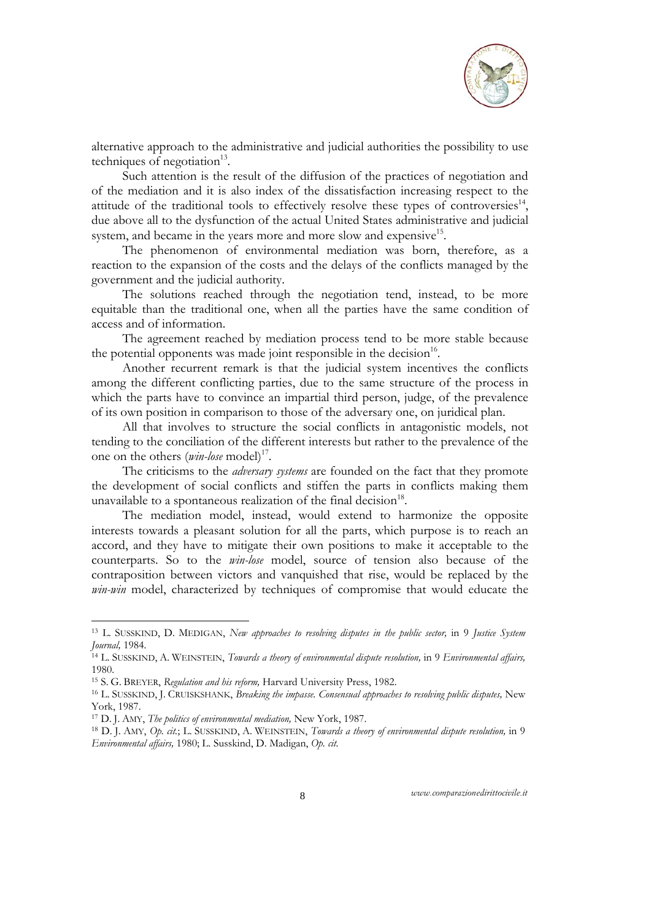

alternative approach to the administrative and judicial authorities the possibility to use techniques of negotiation $13$ .

Such attention is the result of the diffusion of the practices of negotiation and of the mediation and it is also index of the dissatisfaction increasing respect to the attitude of the traditional tools to effectively resolve these types of controversies<sup>14</sup>, due above all to the dysfunction of the actual United States administrative and judicial system, and became in the years more and more slow and expensive<sup>15</sup>.

The phenomenon of environmental mediation was born, therefore, as a reaction to the expansion of the costs and the delays of the conflicts managed by the government and the judicial authority.

The solutions reached through the negotiation tend, instead, to be more equitable than the traditional one, when all the parties have the same condition of access and of information.

The agreement reached by mediation process tend to be more stable because the potential opponents was made joint responsible in the decision $16$ .

Another recurrent remark is that the judicial system incentives the conflicts among the different conflicting parties, due to the same structure of the process in which the parts have to convince an impartial third person, judge, of the prevalence of its own position in comparison to those of the adversary one, on juridical plan.

All that involves to structure the social conflicts in antagonistic models, not tending to the conciliation of the different interests but rather to the prevalence of the one on the others (*win-lose* model)<sup>17</sup>.

The criticisms to the *adversary systems* are founded on the fact that they promote the development of social conflicts and stiffen the parts in conflicts making them unavailable to a spontaneous realization of the final decision<sup>18</sup>.

The mediation model, instead, would extend to harmonize the opposite interests towards a pleasant solution for all the parts, which purpose is to reach an accord, and they have to mitigate their own positions to make it acceptable to the counterparts. So to the *win-lose* model, source of tension also because of the contraposition between victors and vanquished that rise, would be replaced by the *win-win* model, characterized by techniques of compromise that would educate the

-

<sup>&</sup>lt;sup>13</sup> L. SUSSKIND, D. MEDIGAN, *New approaches to resolving disputes in the public sector*, in 9 *Justice System Journal*, 1984.

<sup>&</sup>lt;sup>14</sup> L. SUSSKIND, A. WEINSTEIN, *Towards a theory of environmental dispute resolution*, in 9 *Environmental affairs*, 1980.

<sup>&</sup>lt;sup>15</sup> S. G. BREYER, *Regulation and his reform*, Harvard University Press, 1982.<br><sup>16</sup> L. SUSSKIND, J. CRUISKSHANK, *Breaking the impasse. Consensual approaches to resolving public disputes, New* York, 1987.<br><sup>17</sup> D. J. AMY, *The politics of environmental mediation*, New York, 1987.

<sup>&</sup>lt;sup>18</sup> D. J. AMY, *Op. cit.*; L. SUSSKIND, A. WEINSTEIN, *Towards a theory of environmental dispute resolution*, in 9 *Environmental affairs,* 1980; L. Susskind, D. Madigan, *Op. cit.*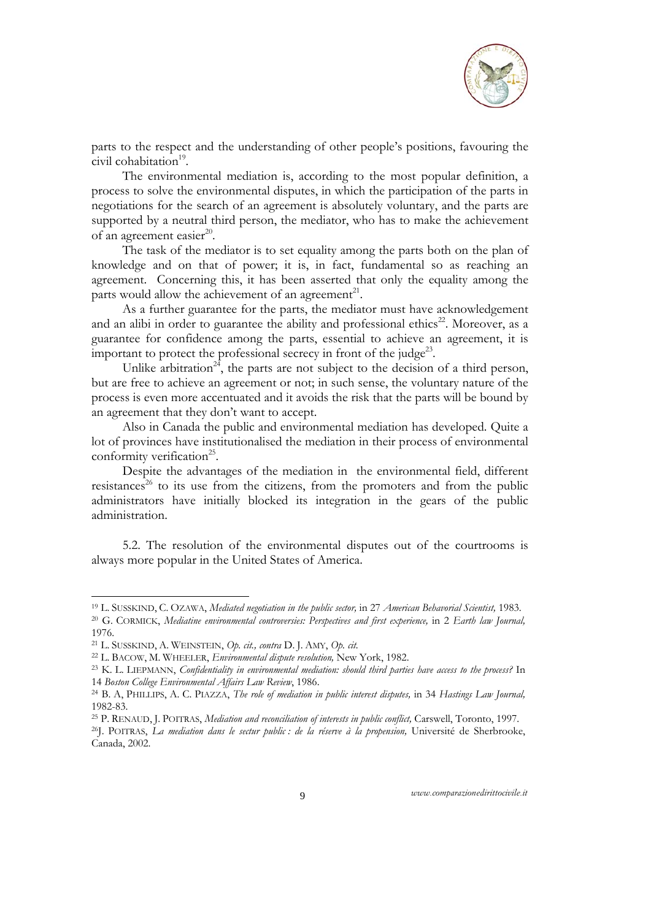

parts to the respect and the understanding of other people's positions, favouring the civil cohabitation<sup>19</sup>.

The environmental mediation is, according to the most popular definition, a process to solve the environmental disputes, in which the participation of the parts in negotiations for the search of an agreement is absolutely voluntary, and the parts are supported by a neutral third person, the mediator, who has to make the achievement of an agreement easier $^{20}$ .

The task of the mediator is to set equality among the parts both on the plan of knowledge and on that of power; it is, in fact, fundamental so as reaching an agreement. Concerning this, it has been asserted that only the equality among the parts would allow the achievement of an agreement<sup>21</sup>.

As a further guarantee for the parts, the mediator must have acknowledgement and an alibi in order to guarantee the ability and professional ethics<sup>22</sup>. Moreover, as a guarantee for confidence among the parts, essential to achieve an agreement, it is important to protect the professional secrecy in front of the judge<sup>23</sup>.

Unlike arbitration<sup>24</sup>, the parts are not subject to the decision of a third person, but are free to achieve an agreement or not; in such sense, the voluntary nature of the process is even more accentuated and it avoids the risk that the parts will be bound by an agreement that they don't want to accept.

Also in Canada the public and environmental mediation has developed. Quite a lot of provinces have institutionalised the mediation in their process of environmental conformity verification<sup>25</sup>.

Despite the advantages of the mediation in the environmental field, different  $resistances<sup>26</sup>$  to its use from the citizens, from the promoters and from the public administrators have initially blocked its integration in the gears of the public administration.

5.2. The resolution of the environmental disputes out of the courtrooms is always more popular in the United States of America.

-

<sup>&</sup>lt;sup>19</sup> L. SUSSKIND, C. OZAWA, Mediated negotiation in the public sector, in 27 *American Behavorial Scientist*, 1983.<br><sup>20</sup> G. CORMICK, Mediatine environmental controversies: Perspectives and first experience, in 2 Earth law 1976.

<sup>21</sup> L. SUSSKIND, A. WEINSTEIN, *Op. cit., contra* D. J. AMY, *Op. cit.*

<sup>&</sup>lt;sup>23</sup> K. L. LIEPMANN, *Confidentiality in environmental mediation; should third parties have access to the process?* In <sup>14</sup>*Boston College Environmental Affairs Law Review*, 1986. 24 B. A, PHILLIPS, A. C. PIAZZA, *The role of mediation in public interest disputes,* in 34 *Hastings Law Journal,* 

<sup>1982-83.</sup> 

<sup>&</sup>lt;sup>25</sup> P. RENAUD, J. POITRAS, *Mediation and reconciliation of interests in public conflict, Carswell, Toronto, 1997.*<br><sup>26</sup>J. POITRAS, *La mediation dans le sectur public : de la réserve à la propension*, Université de Sher

Canada, 2002.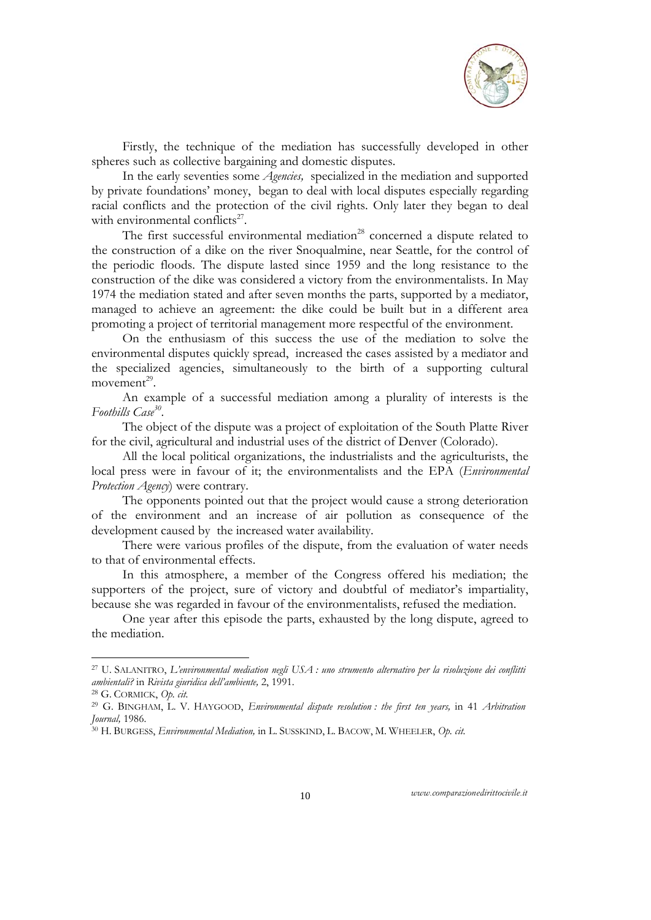

Firstly, the technique of the mediation has successfully developed in other spheres such as collective bargaining and domestic disputes.

In the early seventies some *Agencies,* specialized in the mediation and supported by private foundations' money, began to deal with local disputes especially regarding racial conflicts and the protection of the civil rights. Only later they began to deal with environmental conflicts $27$ .

The first successful environmental mediation<sup>28</sup> concerned a dispute related to the construction of a dike on the river Snoqualmine, near Seattle, for the control of the periodic floods. The dispute lasted since 1959 and the long resistance to the construction of the dike was considered a victory from the environmentalists. In May 1974 the mediation stated and after seven months the parts, supported by a mediator, managed to achieve an agreement: the dike could be built but in a different area promoting a project of territorial management more respectful of the environment.

On the enthusiasm of this success the use of the mediation to solve the environmental disputes quickly spread, increased the cases assisted by a mediator and the specialized agencies, simultaneously to the birth of a supporting cultural movement $29$ .

An example of a successful mediation among a plurality of interests is the *Foothills Case30*.

The object of the dispute was a project of exploitation of the South Platte River for the civil, agricultural and industrial uses of the district of Denver (Colorado).

All the local political organizations, the industrialists and the agriculturists, the local press were in favour of it; the environmentalists and the EPA (*Environmental Protection Agency*) were contrary.

The opponents pointed out that the project would cause a strong deterioration of the environment and an increase of air pollution as consequence of the development caused by the increased water availability.

There were various profiles of the dispute, from the evaluation of water needs to that of environmental effects.

In this atmosphere, a member of the Congress offered his mediation; the supporters of the project, sure of victory and doubtful of mediator's impartiality, because she was regarded in favour of the environmentalists, refused the mediation.

One year after this episode the parts, exhausted by the long dispute, agreed to the mediation.

1

<sup>27</sup> U. SALANITRO, *L'environmental mediation negli USA : uno strumento alternativo per la risoluzione dei conflitti ambientali?* in *Rivista giuridica dell'ambiente,* 2, 1991. 28 G. CORMICK, *Op. cit.*

<sup>&</sup>lt;sup>29</sup> G. BINGHAM, L. V. HAYGOOD, *Environmental dispute resolution : the first ten years,* in 41 *Arbitration Journal*, 1986.

*Journal,* 1986. 30 H. BURGESS, *Environmental Mediation,* in L. SUSSKIND, L. BACOW, M. WHEELER, *Op. cit.*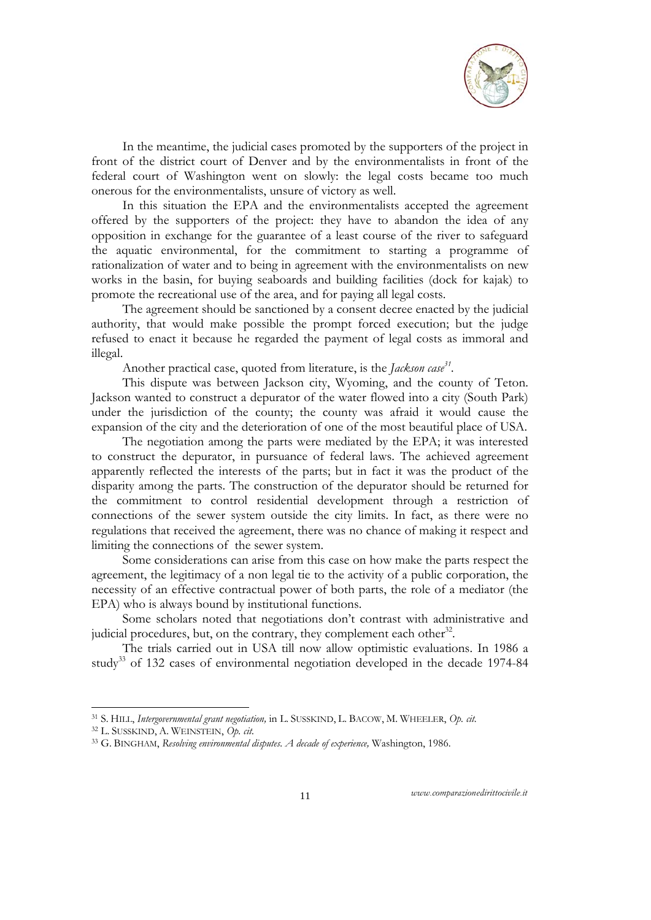

In the meantime, the judicial cases promoted by the supporters of the project in front of the district court of Denver and by the environmentalists in front of the federal court of Washington went on slowly: the legal costs became too much onerous for the environmentalists, unsure of victory as well.

In this situation the EPA and the environmentalists accepted the agreement offered by the supporters of the project: they have to abandon the idea of any opposition in exchange for the guarantee of a least course of the river to safeguard the aquatic environmental, for the commitment to starting a programme of rationalization of water and to being in agreement with the environmentalists on new works in the basin, for buying seaboards and building facilities (dock for kajak) to promote the recreational use of the area, and for paying all legal costs.

The agreement should be sanctioned by a consent decree enacted by the judicial authority, that would make possible the prompt forced execution; but the judge refused to enact it because he regarded the payment of legal costs as immoral and illegal.

Another practical case, quoted from literature, is the *Jackson case<sup>31</sup>*.

This dispute was between Jackson city, Wyoming, and the county of Teton. Jackson wanted to construct a depurator of the water flowed into a city (South Park) under the jurisdiction of the county; the county was afraid it would cause the expansion of the city and the deterioration of one of the most beautiful place of USA.

The negotiation among the parts were mediated by the EPA; it was interested to construct the depurator, in pursuance of federal laws. The achieved agreement apparently reflected the interests of the parts; but in fact it was the product of the disparity among the parts. The construction of the depurator should be returned for the commitment to control residential development through a restriction of connections of the sewer system outside the city limits. In fact, as there were no regulations that received the agreement, there was no chance of making it respect and limiting the connections of the sewer system.

Some considerations can arise from this case on how make the parts respect the agreement, the legitimacy of a non legal tie to the activity of a public corporation, the necessity of an effective contractual power of both parts, the role of a mediator (the EPA) who is always bound by institutional functions.

Some scholars noted that negotiations don't contrast with administrative and judicial procedures, but, on the contrary, they complement each other $32$ .

The trials carried out in USA till now allow optimistic evaluations. In 1986 a study<sup>33</sup> of 132 cases of environmental negotiation developed in the decade 1974-84

-

<sup>31</sup> S. HILL, *Intergovernmental grant negotiation,* in L. SUSSKIND, L. BACOW, M. WHEELER, *Op. cit.*

<sup>32</sup> L. SUSSKIND, A. WEINSTEIN, *Op. cit.*

<sup>33</sup> G. BINGHAM, *Resolving environmental disputes. A decade of experience,* Washington, 1986.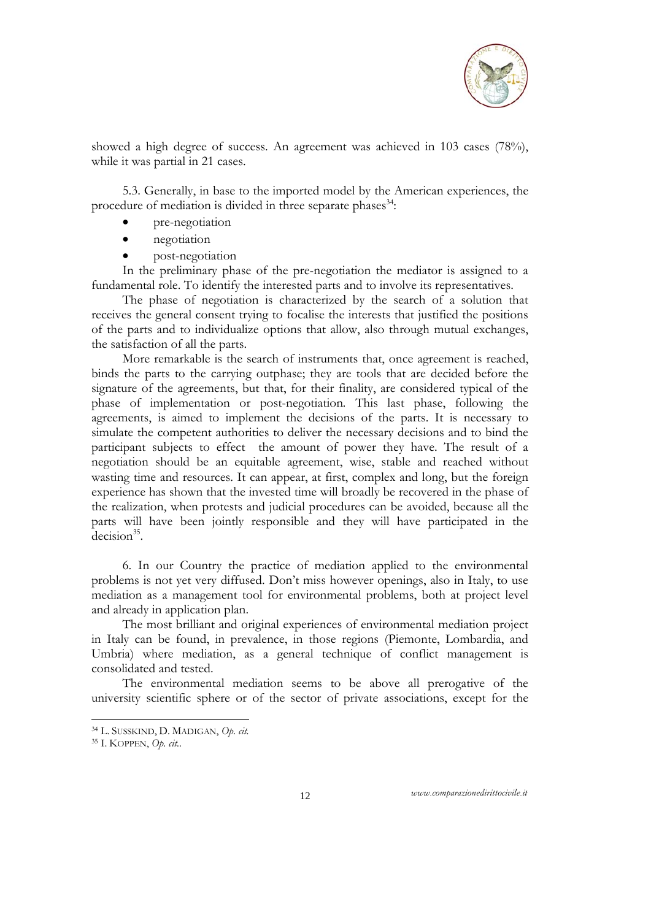

showed a high degree of success. An agreement was achieved in 103 cases (78%), while it was partial in 21 cases.

5.3. Generally, in base to the imported model by the American experiences, the procedure of mediation is divided in three separate phases<sup>34</sup>:

- pre-negotiation
- negotiation
- post-negotiation

In the preliminary phase of the pre-negotiation the mediator is assigned to a fundamental role. To identify the interested parts and to involve its representatives.

The phase of negotiation is characterized by the search of a solution that receives the general consent trying to focalise the interests that justified the positions of the parts and to individualize options that allow, also through mutual exchanges, the satisfaction of all the parts.

More remarkable is the search of instruments that, once agreement is reached, binds the parts to the carrying outphase; they are tools that are decided before the signature of the agreements, but that, for their finality, are considered typical of the phase of implementation or post-negotiation*.* This last phase, following the agreements, is aimed to implement the decisions of the parts. It is necessary to simulate the competent authorities to deliver the necessary decisions and to bind the participant subjects to effect the amount of power they have. The result of a negotiation should be an equitable agreement, wise, stable and reached without wasting time and resources. It can appear, at first, complex and long, but the foreign experience has shown that the invested time will broadly be recovered in the phase of the realization, when protests and judicial procedures can be avoided, because all the parts will have been jointly responsible and they will have participated in the  $decision<sup>35</sup>$ .

6. In our Country the practice of mediation applied to the environmental problems is not yet very diffused. Don't miss however openings, also in Italy, to use mediation as a management tool for environmental problems, both at project level and already in application plan.

The most brilliant and original experiences of environmental mediation project in Italy can be found, in prevalence, in those regions (Piemonte, Lombardia, and Umbria) where mediation, as a general technique of conflict management is consolidated and tested.

The environmental mediation seems to be above all prerogative of the university scientific sphere or of the sector of private associations, except for the

-

<sup>34</sup> L. SUSSKIND, D. MADIGAN, *Op. cit.* 

<sup>35</sup> I. KOPPEN, *Op. cit.*.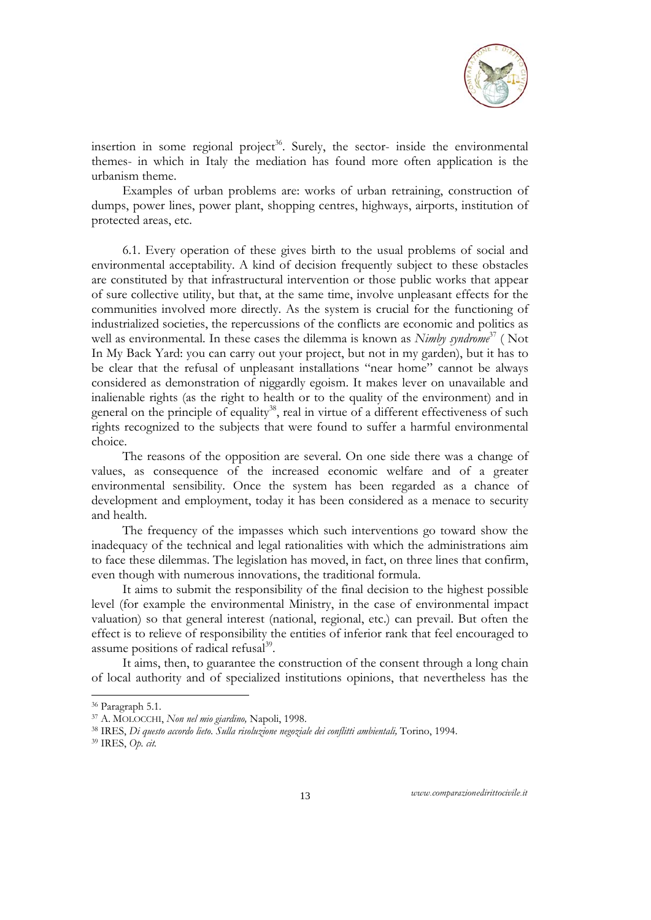

insertion in some regional project<sup>36</sup>. Surely, the sector- inside the environmental themes- in which in Italy the mediation has found more often application is the urbanism theme.

Examples of urban problems are: works of urban retraining, construction of dumps, power lines, power plant, shopping centres, highways, airports, institution of protected areas, etc.

6.1. Every operation of these gives birth to the usual problems of social and environmental acceptability. A kind of decision frequently subject to these obstacles are constituted by that infrastructural intervention or those public works that appear of sure collective utility, but that, at the same time, involve unpleasant effects for the communities involved more directly. As the system is crucial for the functioning of industrialized societies, the repercussions of the conflicts are economic and politics as well as environmental. In these cases the dilemma is known as *Nimby syndrome*<sup>37</sup> (Not In My Back Yard: you can carry out your project, but not in my garden), but it has to be clear that the refusal of unpleasant installations "near home" cannot be always considered as demonstration of niggardly egoism. It makes lever on unavailable and inalienable rights (as the right to health or to the quality of the environment) and in general on the principle of equality<sup>38</sup>, real in virtue of a different effectiveness of such rights recognized to the subjects that were found to suffer a harmful environmental choice.

The reasons of the opposition are several. On one side there was a change of values, as consequence of the increased economic welfare and of a greater environmental sensibility. Once the system has been regarded as a chance of development and employment, today it has been considered as a menace to security and health.

The frequency of the impasses which such interventions go toward show the inadequacy of the technical and legal rationalities with which the administrations aim to face these dilemmas. The legislation has moved, in fact, on three lines that confirm, even though with numerous innovations, the traditional formula.

It aims to submit the responsibility of the final decision to the highest possible level (for example the environmental Ministry, in the case of environmental impact valuation) so that general interest (national, regional, etc.) can prevail. But often the effect is to relieve of responsibility the entities of inferior rank that feel encouraged to assume positions of radical refusal<sup>39</sup>.

It aims, then, to guarantee the construction of the consent through a long chain of local authority and of specialized institutions opinions, that nevertheless has the

-

<sup>&</sup>lt;sup>36</sup> Paragraph 5.1.<br><sup>37</sup> A. MOLOCCHI, *Non nel mio giardino*, Napoli, 1998.

<sup>&</sup>lt;sup>38</sup> IRES, *Di questo accordo lieto. Sulla risoluzione negoziale dei conflitti ambientali, Torino, 1994.* <sup>39</sup> IRES, *Op. cit.*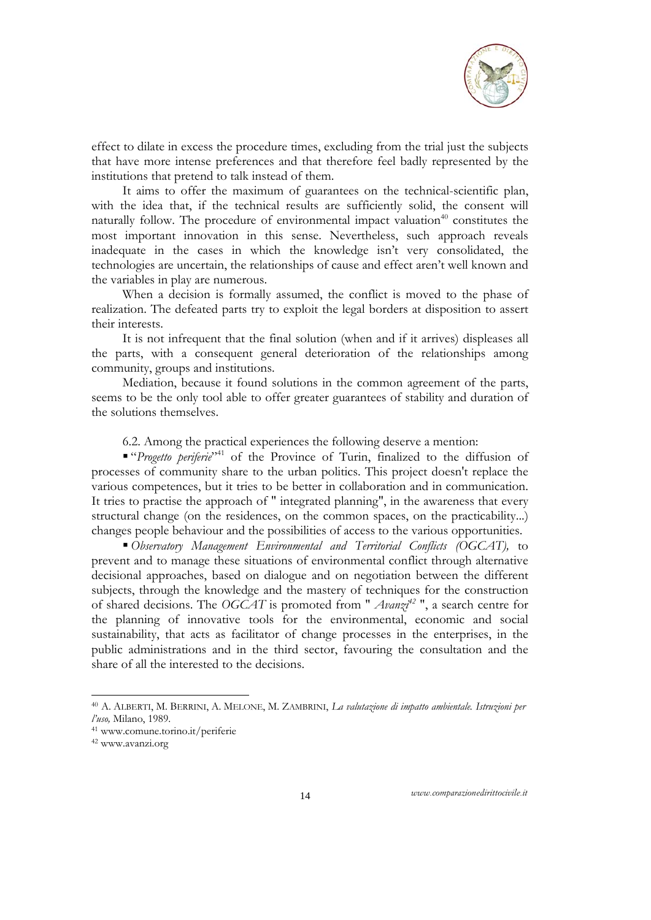

effect to dilate in excess the procedure times, excluding from the trial just the subjects that have more intense preferences and that therefore feel badly represented by the institutions that pretend to talk instead of them.

It aims to offer the maximum of guarantees on the technical-scientific plan, with the idea that, if the technical results are sufficiently solid, the consent will naturally follow. The procedure of environmental impact valuation<sup>40</sup> constitutes the most important innovation in this sense. Nevertheless, such approach reveals inadequate in the cases in which the knowledge isn't very consolidated, the technologies are uncertain, the relationships of cause and effect aren't well known and the variables in play are numerous.

When a decision is formally assumed, the conflict is moved to the phase of realization. The defeated parts try to exploit the legal borders at disposition to assert their interests.

It is not infrequent that the final solution (when and if it arrives) displeases all the parts, with a consequent general deterioration of the relationships among community, groups and institutions.

Mediation, because it found solutions in the common agreement of the parts, seems to be the only tool able to offer greater guarantees of stability and duration of the solutions themselves.

6.2. Among the practical experiences the following deserve a mention:

 "*Progetto periferie*"41 of the Province of Turin, finalized to the diffusion of processes of community share to the urban politics. This project doesn't replace the various competences, but it tries to be better in collaboration and in communication. It tries to practise the approach of " integrated planning", in the awareness that every structural change (on the residences, on the common spaces, on the practicability...) changes people behaviour and the possibilities of access to the various opportunities.

 *Observatory Management Environmental and Territorial Conflicts (OGCAT),* to prevent and to manage these situations of environmental conflict through alternative decisional approaches, based on dialogue and on negotiation between the different subjects, through the knowledge and the mastery of techniques for the construction of shared decisions. The *OGCAT* is promoted from " *Avanzi42* ", a search centre for the planning of innovative tools for the environmental, economic and social sustainability, that acts as facilitator of change processes in the enterprises, in the public administrations and in the third sector, favouring the consultation and the share of all the interested to the decisions.

-

<sup>40</sup> A. ALBERTI, M. BERRINI, A. MELONE, M. ZAMBRINI, *La valutazione di impatto ambientale. Istruzioni per* 

<sup>&</sup>lt;sup>41</sup> www.comune.torino.it/periferie

<sup>42</sup> www.avanzi.org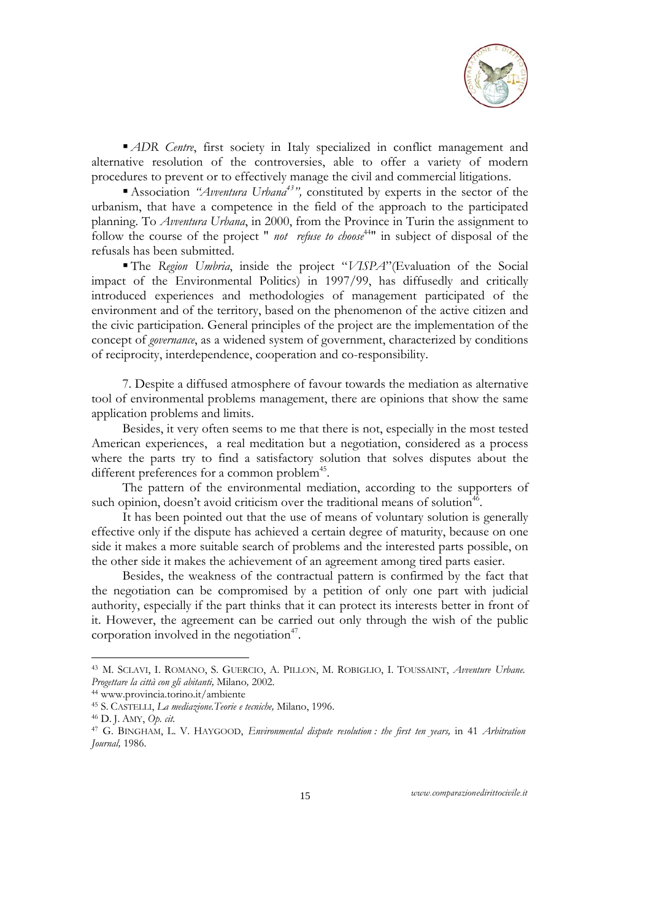

*ADR Centre*, first society in Italy specialized in conflict management and alternative resolution of the controversies, able to offer a variety of modern procedures to prevent or to effectively manage the civil and commercial litigations.

■ Association *"Avventura Urbana<sup>43</sup>"*, constituted by experts in the sector of the urbanism, that have a competence in the field of the approach to the participated planning. To *Avventura Urbana*, in 2000, from the Province in Turin the assignment to follow the course of the project " *not refuse to choose*44" in subject of disposal of the refusals has been submitted.

 The *Region Umbria*, inside the project "*VISPA*"(Evaluation of the Social impact of the Environmental Politics) in 1997/99, has diffusedly and critically introduced experiences and methodologies of management participated of the environment and of the territory, based on the phenomenon of the active citizen and the civic participation. General principles of the project are the implementation of the concept of *governance*, as a widened system of government, characterized by conditions of reciprocity, interdependence, cooperation and co-responsibility.

7. Despite a diffused atmosphere of favour towards the mediation as alternative tool of environmental problems management, there are opinions that show the same application problems and limits.

Besides, it very often seems to me that there is not, especially in the most tested American experiences, a real meditation but a negotiation, considered as a process where the parts try to find a satisfactory solution that solves disputes about the different preferences for a common problem<sup>45</sup>.

The pattern of the environmental mediation, according to the supporters of such opinion, doesn't avoid criticism over the traditional means of solution<sup>46</sup>.

It has been pointed out that the use of means of voluntary solution is generally effective only if the dispute has achieved a certain degree of maturity, because on one side it makes a more suitable search of problems and the interested parts possible, on the other side it makes the achievement of an agreement among tired parts easier.

Besides, the weakness of the contractual pattern is confirmed by the fact that the negotiation can be compromised by a petition of only one part with judicial authority, especially if the part thinks that it can protect its interests better in front of it. However, the agreement can be carried out only through the wish of the public corporation involved in the negotiation $47$ .

1

<sup>43</sup> M. SCLAVI, I. ROMANO, S. GUERCIO, A. PILLON, M. ROBIGLIO, I. TOUSSAINT, *Avventure Urbane. Progettare la città con gli abitanti,* Milano*,* 2002. 44 www.provincia.torino.it/ambiente

<sup>45</sup> S. CASTELLI, *La mediazione.Teorie e tecniche,* Milano, 1996. 46 D. J. AMY, *Op. cit.*

<sup>47</sup> G. BINGHAM, L. V. HAYGOOD, *Environmental dispute resolution : the first ten years,* in 41 *Arbitration Journal,* 1986.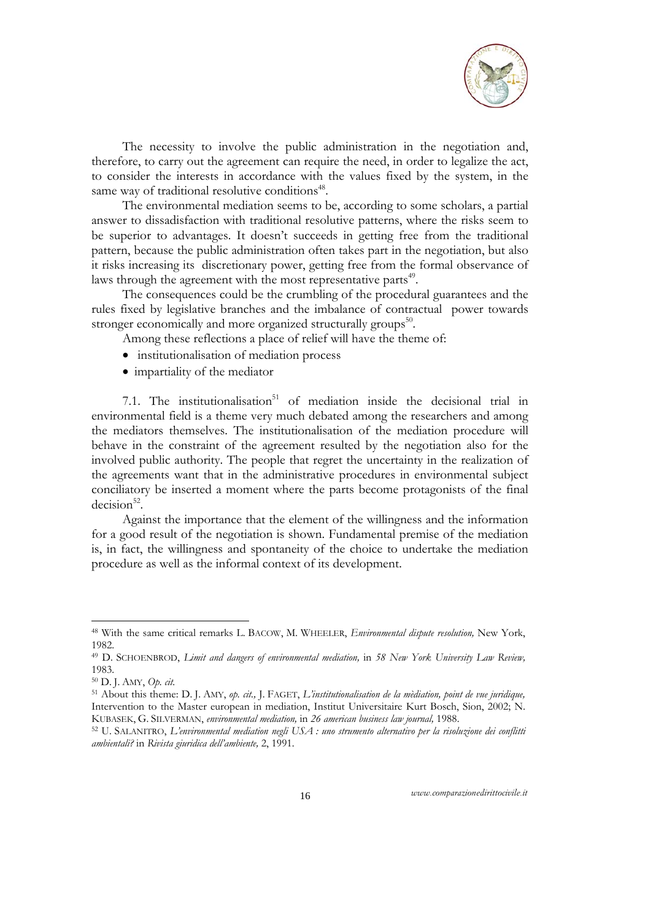

The necessity to involve the public administration in the negotiation and, therefore, to carry out the agreement can require the need, in order to legalize the act, to consider the interests in accordance with the values fixed by the system, in the same way of traditional resolutive conditions<sup>48</sup>.

The environmental mediation seems to be, according to some scholars, a partial answer to dissadisfaction with traditional resolutive patterns, where the risks seem to be superior to advantages. It doesn't succeeds in getting free from the traditional pattern, because the public administration often takes part in the negotiation, but also it risks increasing its discretionary power, getting free from the formal observance of laws through the agreement with the most representative parts<sup>49</sup>.

The consequences could be the crumbling of the procedural guarantees and the rules fixed by legislative branches and the imbalance of contractual power towards stronger economically and more organized structurally groups<sup>50</sup>.

Among these reflections a place of relief will have the theme of:

- institutionalisation of mediation process
- impartiality of the mediator

7.1. The institutionalisation $51$  of mediation inside the decisional trial in environmental field is a theme very much debated among the researchers and among the mediators themselves. The institutionalisation of the mediation procedure will behave in the constraint of the agreement resulted by the negotiation also for the involved public authority. The people that regret the uncertainty in the realization of the agreements want that in the administrative procedures in environmental subject conciliatory be inserted a moment where the parts become protagonists of the final  $decision<sup>52</sup>$ .

Against the importance that the element of the willingness and the information for a good result of the negotiation is shown. Fundamental premise of the mediation is, in fact, the willingness and spontaneity of the choice to undertake the mediation procedure as well as the informal context of its development.

-

<sup>48</sup> With the same critical remarks L. BACOW, M. WHEELER, *Environmental dispute resolution,* New York, 1982.

<sup>49</sup> D. SCHOENBROD, *Limit and dangers of environmental mediation,* in *58 New York University Law Review,*  1983.

<sup>50</sup> D. J. AMY, *Op. cit.* 51 About this theme: D. J. AMY, *op. cit.,* J. FAGET, *L'institutionalisation de la mèdiation, point de vue juridique,*  Intervention to the Master european in mediation, Institut Universitaire Kurt Bosch, Sion, 2002; N. KUBASEK, G. SILVERMAN, environmental mediation, in 26 american business law journal, 1988.<br><sup>52</sup> U. SALANITRO, L'environmental mediation negli USA : uno strumento alternativo per la risoluzione dei conflitti

*ambientali?* in *Rivista giuridica dell'ambiente,* 2, 1991.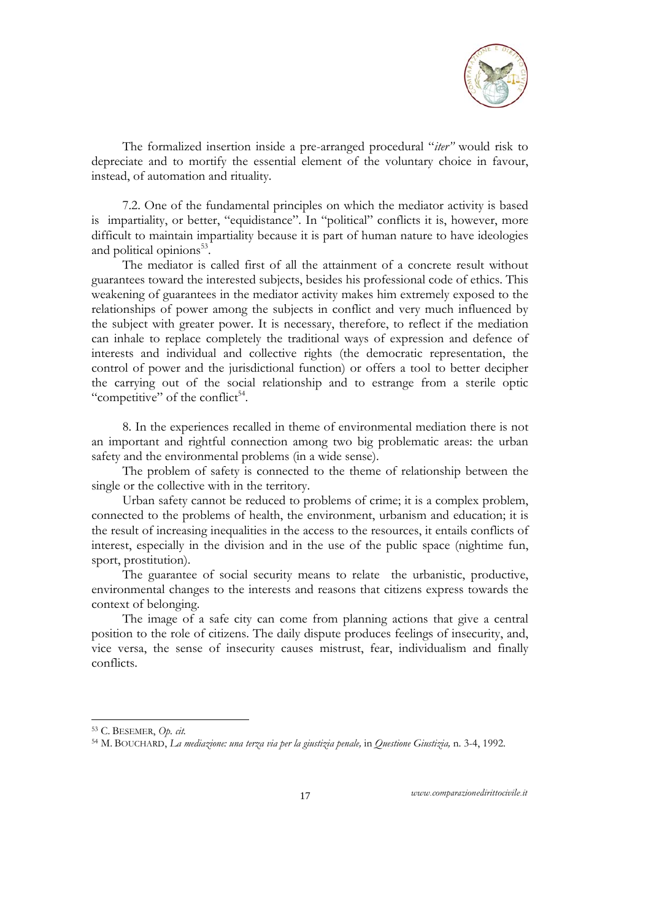

The formalized insertion inside a pre-arranged procedural "*iter"* would risk to depreciate and to mortify the essential element of the voluntary choice in favour, instead, of automation and rituality.

7.2. One of the fundamental principles on which the mediator activity is based is impartiality, or better, "equidistance". In "political" conflicts it is, however, more difficult to maintain impartiality because it is part of human nature to have ideologies and political opinions<sup>53</sup>.

The mediator is called first of all the attainment of a concrete result without guarantees toward the interested subjects, besides his professional code of ethics. This weakening of guarantees in the mediator activity makes him extremely exposed to the relationships of power among the subjects in conflict and very much influenced by the subject with greater power. It is necessary, therefore, to reflect if the mediation can inhale to replace completely the traditional ways of expression and defence of interests and individual and collective rights (the democratic representation, the control of power and the jurisdictional function) or offers a tool to better decipher the carrying out of the social relationship and to estrange from a sterile optic "competitive" of the conflict<sup>54</sup>.

8. In the experiences recalled in theme of environmental mediation there is not an important and rightful connection among two big problematic areas: the urban safety and the environmental problems (in a wide sense).

The problem of safety is connected to the theme of relationship between the single or the collective with in the territory.

Urban safety cannot be reduced to problems of crime; it is a complex problem, connected to the problems of health, the environment, urbanism and education; it is the result of increasing inequalities in the access to the resources, it entails conflicts of interest, especially in the division and in the use of the public space (nightime fun, sport, prostitution).

The guarantee of social security means to relate the urbanistic, productive, environmental changes to the interests and reasons that citizens express towards the context of belonging.

The image of a safe city can come from planning actions that give a central position to the role of citizens. The daily dispute produces feelings of insecurity, and, vice versa, the sense of insecurity causes mistrust, fear, individualism and finally conflicts.

-

<sup>53</sup> C. BESEMER, *Op. cit.*

<sup>54</sup> M. BOUCHARD, *La mediazione: una terza via per la giustizia penale,* in *Questione Giustizia,* n. 3-4, 1992.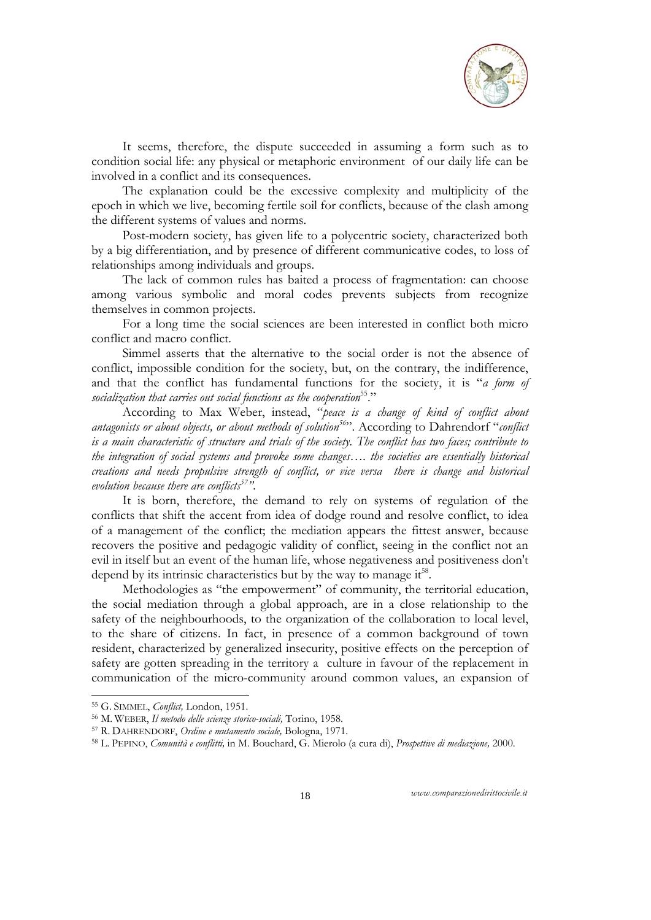

It seems, therefore, the dispute succeeded in assuming a form such as to condition social life: any physical or metaphoric environment of our daily life can be involved in a conflict and its consequences.

The explanation could be the excessive complexity and multiplicity of the epoch in which we live, becoming fertile soil for conflicts, because of the clash among the different systems of values and norms.

Post-modern society, has given life to a polycentric society, characterized both by a big differentiation, and by presence of different communicative codes, to loss of relationships among individuals and groups.

The lack of common rules has baited a process of fragmentation: can choose among various symbolic and moral codes prevents subjects from recognize themselves in common projects.

For a long time the social sciences are been interested in conflict both micro conflict and macro conflict.

Simmel asserts that the alternative to the social order is not the absence of conflict, impossible condition for the society, but, on the contrary, the indifference, and that the conflict has fundamental functions for the society, it is "*a form of*  socialization that carries out social functions as the cooperation<sup>55</sup>."

According to Max Weber, instead, "*peace is a change of kind of conflict about antagonists or about objects, or about methods of solution56*". According to Dahrendorf "*conflict is a main characteristic of structure and trials of the society. The conflict has two faces; contribute to the integration of social systems and provoke some changes…. the societies are essentially historical creations and needs propulsive strength of conflict, or vice versa there is change and historical evolution because there are conflicts57".* 

It is born, therefore, the demand to rely on systems of regulation of the conflicts that shift the accent from idea of dodge round and resolve conflict, to idea of a management of the conflict; the mediation appears the fittest answer, because recovers the positive and pedagogic validity of conflict, seeing in the conflict not an evil in itself but an event of the human life, whose negativeness and positiveness don't depend by its intrinsic characteristics but by the way to manage  $it^{58}$ .

Methodologies as "the empowerment" of community, the territorial education, the social mediation through a global approach, are in a close relationship to the safety of the neighbourhoods, to the organization of the collaboration to local level, to the share of citizens. In fact, in presence of a common background of town resident, characterized by generalized insecurity, positive effects on the perception of safety are gotten spreading in the territory a culture in favour of the replacement in communication of the micro-community around common values, an expansion of

-

<sup>&</sup>lt;sup>55</sup> G. SIMMEL, *Conflict, London, 1951.*<br><sup>56</sup> M. WEBER, *Il metodo delle scienze storico-sociali,* Torino, 1958.<br><sup>57</sup> R. DAHRENDORF, *Ordine e mutamento sociale, Bologna, 1971.*<br><sup>58</sup> L. PEPINO, *Comunità e conflitti*, in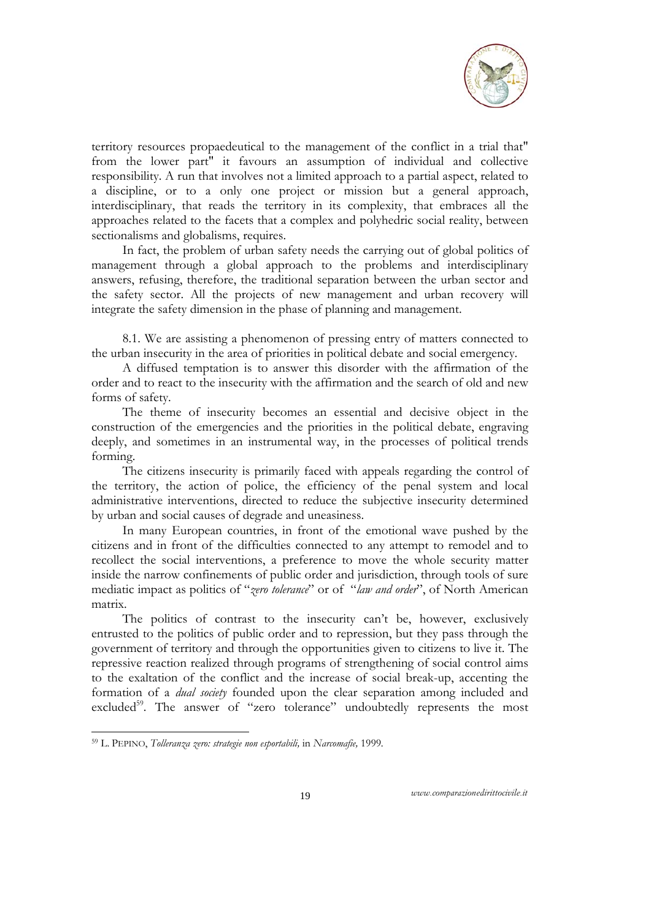

territory resources propaedeutical to the management of the conflict in a trial that" from the lower part" it favours an assumption of individual and collective responsibility. A run that involves not a limited approach to a partial aspect, related to a discipline, or to a only one project or mission but a general approach, interdisciplinary, that reads the territory in its complexity, that embraces all the approaches related to the facets that a complex and polyhedric social reality, between sectionalisms and globalisms, requires.

In fact, the problem of urban safety needs the carrying out of global politics of management through a global approach to the problems and interdisciplinary answers, refusing, therefore, the traditional separation between the urban sector and the safety sector. All the projects of new management and urban recovery will integrate the safety dimension in the phase of planning and management.

8.1. We are assisting a phenomenon of pressing entry of matters connected to the urban insecurity in the area of priorities in political debate and social emergency.

A diffused temptation is to answer this disorder with the affirmation of the order and to react to the insecurity with the affirmation and the search of old and new forms of safety.

The theme of insecurity becomes an essential and decisive object in the construction of the emergencies and the priorities in the political debate, engraving deeply, and sometimes in an instrumental way, in the processes of political trends forming.

The citizens insecurity is primarily faced with appeals regarding the control of the territory, the action of police, the efficiency of the penal system and local administrative interventions, directed to reduce the subjective insecurity determined by urban and social causes of degrade and uneasiness.

In many European countries, in front of the emotional wave pushed by the citizens and in front of the difficulties connected to any attempt to remodel and to recollect the social interventions, a preference to move the whole security matter inside the narrow confinements of public order and jurisdiction, through tools of sure mediatic impact as politics of "*zero tolerance*" or of "*law and order*", of North American matrix.

The politics of contrast to the insecurity can't be, however, exclusively entrusted to the politics of public order and to repression, but they pass through the government of territory and through the opportunities given to citizens to live it. The repressive reaction realized through programs of strengthening of social control aims to the exaltation of the conflict and the increase of social break-up, accenting the formation of a *dual society* founded upon the clear separation among included and excluded<sup>59</sup>. The answer of "zero tolerance" undoubtedly represents the most

-

<sup>59</sup> L. PEPINO, *Tolleranza zero: strategie non esportabili,* in *Narcomafie,* 1999*.*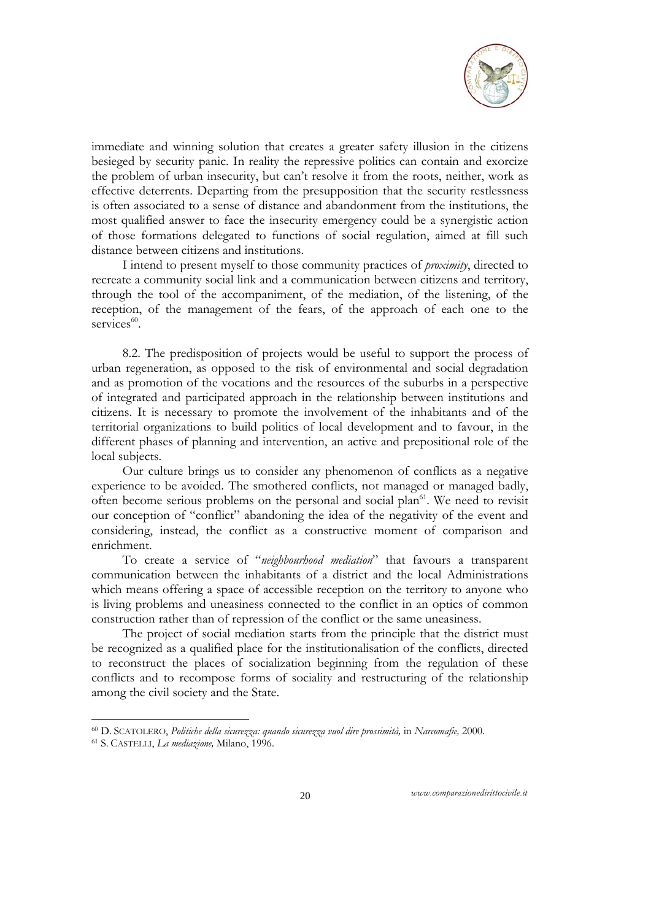

immediate and winning solution that creates a greater safety illusion in the citizens besieged by security panic. In reality the repressive politics can contain and exorcize the problem of urban insecurity, but can't resolve it from the roots, neither, work as effective deterrents. Departing from the presupposition that the security restlessness is often associated to a sense of distance and abandonment from the institutions, the most qualified answer to face the insecurity emergency could be a synergistic action of those formations delegated to functions of social regulation, aimed at fill such distance between citizens and institutions.

I intend to present myself to those community practices of *proximity*, directed to recreate a community social link and a communication between citizens and territory, through the tool of the accompaniment, of the mediation, of the listening, of the reception, of the management of the fears, of the approach of each one to the services<sup>60</sup>.

8.2. The predisposition of projects would be useful to support the process of urban regeneration, as opposed to the risk of environmental and social degradation and as promotion of the vocations and the resources of the suburbs in a perspective of integrated and participated approach in the relationship between institutions and citizens. It is necessary to promote the involvement of the inhabitants and of the territorial organizations to build politics of local development and to favour, in the different phases of planning and intervention, an active and prepositional role of the local subjects.

Our culture brings us to consider any phenomenon of conflicts as a negative experience to be avoided. The smothered conflicts, not managed or managed badly, often become serious problems on the personal and social plan<sup>61</sup>. We need to revisit our conception of "conflict" abandoning the idea of the negativity of the event and considering, instead, the conflict as a constructive moment of comparison and enrichment.

To create a service of "*neighbourhood mediation*" that favours a transparent communication between the inhabitants of a district and the local Administrations which means offering a space of accessible reception on the territory to anyone who is living problems and uneasiness connected to the conflict in an optics of common construction rather than of repression of the conflict or the same uneasiness.

The project of social mediation starts from the principle that the district must be recognized as a qualified place for the institutionalisation of the conflicts, directed to reconstruct the places of socialization beginning from the regulation of these conflicts and to recompose forms of sociality and restructuring of the relationship among the civil society and the State.

-

<sup>60</sup> D. SCATOLERO, *Politiche della sicurezza: quando sicurezza vuol dire prossimità,* in *Narcomafie,* 2000. 61 S. CASTELLI, *La mediazione,* Milano, 1996.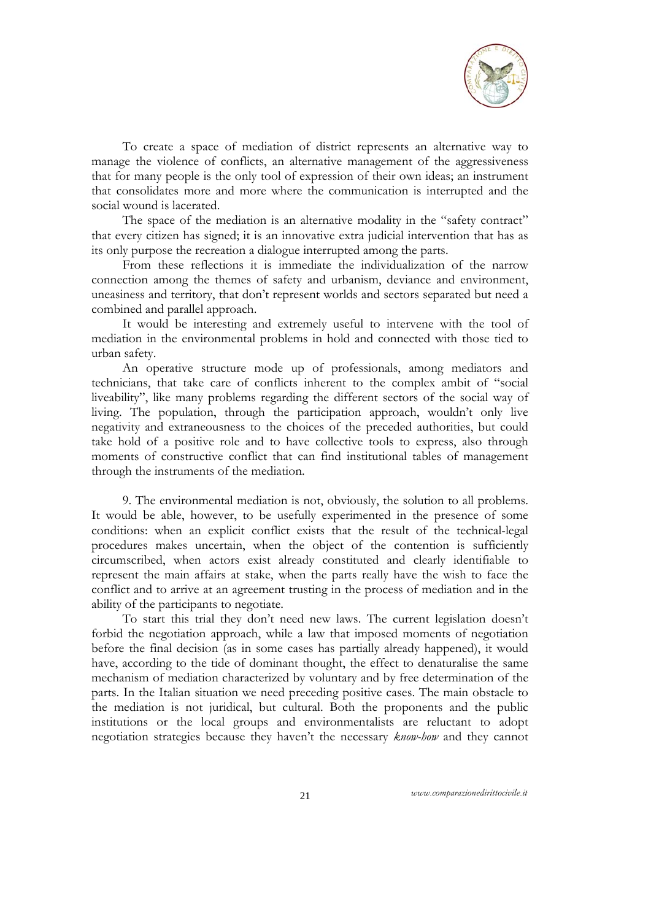

To create a space of mediation of district represents an alternative way to manage the violence of conflicts, an alternative management of the aggressiveness that for many people is the only tool of expression of their own ideas; an instrument that consolidates more and more where the communication is interrupted and the social wound is lacerated.

The space of the mediation is an alternative modality in the "safety contract" that every citizen has signed; it is an innovative extra judicial intervention that has as its only purpose the recreation a dialogue interrupted among the parts.

From these reflections it is immediate the individualization of the narrow connection among the themes of safety and urbanism, deviance and environment, uneasiness and territory, that don't represent worlds and sectors separated but need a combined and parallel approach.

It would be interesting and extremely useful to intervene with the tool of mediation in the environmental problems in hold and connected with those tied to urban safety.

An operative structure mode up of professionals, among mediators and technicians, that take care of conflicts inherent to the complex ambit of "social liveability", like many problems regarding the different sectors of the social way of living. The population, through the participation approach, wouldn't only live negativity and extraneousness to the choices of the preceded authorities, but could take hold of a positive role and to have collective tools to express, also through moments of constructive conflict that can find institutional tables of management through the instruments of the mediation.

9. The environmental mediation is not, obviously, the solution to all problems. It would be able, however, to be usefully experimented in the presence of some conditions: when an explicit conflict exists that the result of the technical-legal procedures makes uncertain, when the object of the contention is sufficiently circumscribed, when actors exist already constituted and clearly identifiable to represent the main affairs at stake, when the parts really have the wish to face the conflict and to arrive at an agreement trusting in the process of mediation and in the ability of the participants to negotiate.

To start this trial they don't need new laws. The current legislation doesn't forbid the negotiation approach, while a law that imposed moments of negotiation before the final decision (as in some cases has partially already happened), it would have, according to the tide of dominant thought, the effect to denaturalise the same mechanism of mediation characterized by voluntary and by free determination of the parts. In the Italian situation we need preceding positive cases. The main obstacle to the mediation is not juridical, but cultural. Both the proponents and the public institutions or the local groups and environmentalists are reluctant to adopt negotiation strategies because they haven't the necessary *know-how* and they cannot